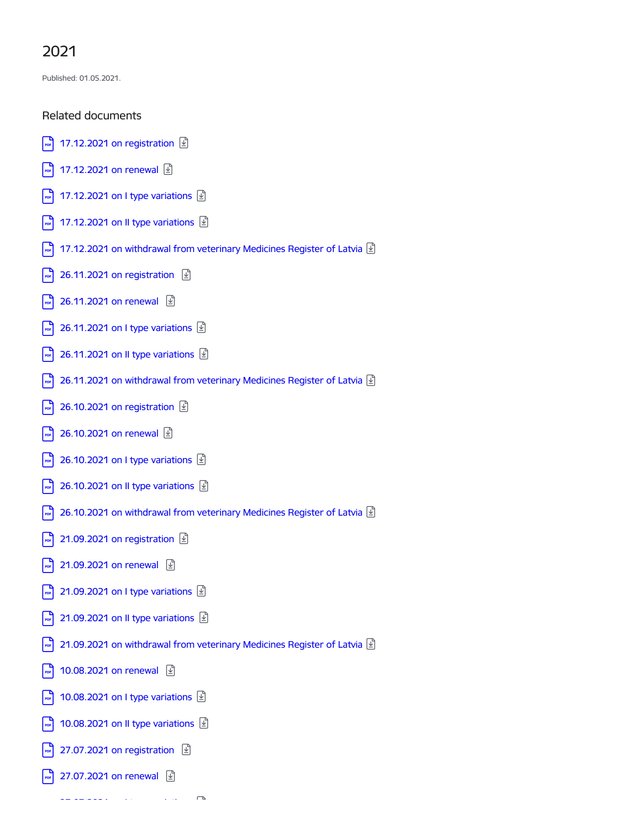## 2021

Published: 01.05.2021.

## Related documents

- |□ 17.12.2021 on [registration](https://www.pvd.gov.lv/en/media/2101/download) **9**  $\frac{1}{100}$  [17.12.2021](https://www.pvd.gov.lv/en/media/2104/download) on renewal  $\boxed{4}$  $\Box$  [17.12.2021](https://www.pvd.gov.lv/en/media/2107/download) on I type variations  $\Box$  $\boxed{\bullet}$  [17.12.2021](https://www.pvd.gov.lv/en/media/2110/download) on II type variations  $\boxed{\underline{\bullet}}$  $\boxed{\bullet}$  [17.12.2021](https://www.pvd.gov.lv/en/media/2113/download) on withdrawal from veterinary Medicines Register of Latvia  $\boxed{\textcircled{\mathbb{Z}}}$
- $\left| \cdot \right|$  26.11.2021 on [registration](https://www.pvd.gov.lv/en/media/2043/download)  $\left| \cdot \right|$
- $\frac{1}{26}$  [26.11.2021](https://www.pvd.gov.lv/en/media/2040/download) on renewal  $\boxed{2}$
- $\boxed{\bullet}$  [26.11.2021](https://www.pvd.gov.lv/en/media/2037/download) on I type variations  $\boxed{\underline{\mathfrak{D}}}$
- $\boxed{\bullet}$  [26.11.2021](https://www.pvd.gov.lv/en/media/2034/download) on II type variations  $\boxed{\underline{\bullet}}$
- $\boxed{\bullet}$  [26.11.2021](https://www.pvd.gov.lv/en/media/2031/download) on withdrawal from veterinary Medicines Register of Latvia  $\boxed{\textcircled{\mathbb{Z}}}$
- $\left| \cdot \right|$  26.10.2021 on [registration](https://www.pvd.gov.lv/en/media/1968/download)  $\boxed{2}$
- $\frac{1}{26}$  [26.10.2021](https://www.pvd.gov.lv/en/media/1965/download) on renewal  $\boxed{4}$
- $\boxed{\phantom{1}}$  [26.10.2021](https://www.pvd.gov.lv/en/media/1962/download) on I type variations  $\boxed{\underline{\Psi}}$
- $\left| \right|$  [26.10.2021](https://www.pvd.gov.lv/en/media/1959/download) on II type variations  $\left| \right|$
- $\boxed{\bullet}$  [26.10.2021](https://www.pvd.gov.lv/en/media/1956/download) on withdrawal from veterinary Medicines Register of Latvia  $\boxed{\textcircled{\textcirc}}$
- $\left| \cdot \right|$  21.09.2021 on [registration](https://www.pvd.gov.lv/en/media/1761/download)  $\boxed{2}$
- $\frac{1}{2}$  [21.09.2021](https://www.pvd.gov.lv/en/media/1764/download) on renewal  $\boxed{1}$
- $\boxed{\phantom{1}}_{\text{pop}}$  [21.09.2021](https://www.pvd.gov.lv/en/media/1809/download) on I type variations  $\boxed{\underline{\mathbb{P}}}$
- $\left| \right\rangle$  [21.09.2021](https://www.pvd.gov.lv/en/media/1770/download) on II type variations  $\left| \right\rangle$
- $\boxed{\cdot}$  [21.09.2021](https://www.pvd.gov.lv/en/media/1773/download) on withdrawal from veterinary Medicines Register of Latvia  $\boxed{2}$
- $\boxed{\bullet}$  [10.08.2021](https://www.pvd.gov.lv/en/media/1589/download) on renewal  $\boxed{\underline{\Psi}}$
- $\sqrt{10.08.2021}$  $\sqrt{10.08.2021}$  $\sqrt{10.08.2021}$  on I type variations  $\boxed{1}$
- $\boxed{\bullet}$  [10.08.2021](https://www.pvd.gov.lv/en/media/1595/download) on II type variations  $\boxed{\underline{\bullet}}$
- $\boxed{\bullet}$  27.07.2021 on [registration](https://www.pvd.gov.lv/en/media/1547/download)  $\boxed{\mathcal{D}}$
- $\boxed{\phantom{1}27.07.2021}$  $\boxed{\phantom{1}27.07.2021}$  $\boxed{\phantom{1}27.07.2021}$  on renewal  $\boxed{\phantom{1}2}$

 $27.07.202$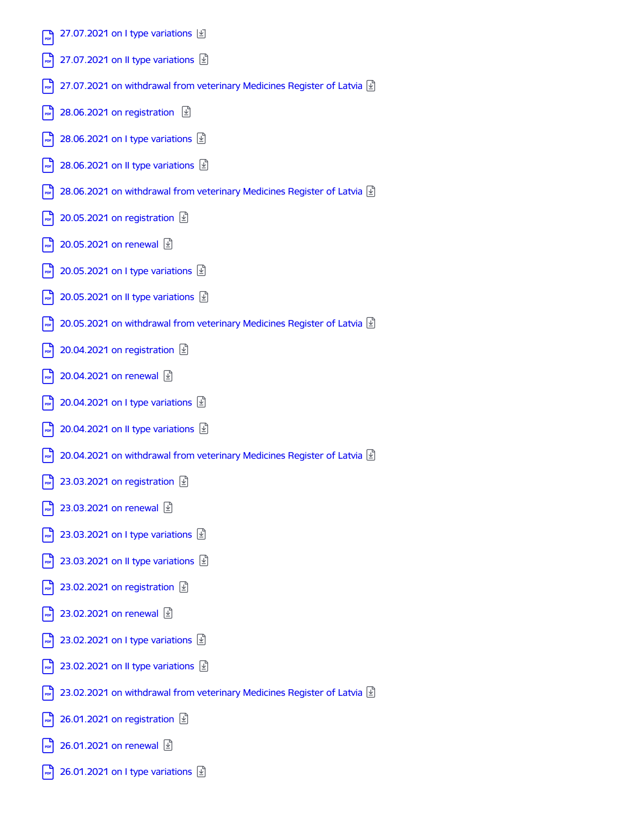| 27.07.2021 on I type variations [\int]<br>PDF                                                                       |
|---------------------------------------------------------------------------------------------------------------------|
| 27.07.2021 on II type variations $\vert \underline{\mathcal{L}} \vert$                                              |
| 27.07.2021 on withdrawal from veterinary Medicines Register of Latvia $\vert \underline{\mathfrak{s}} \vert$<br>PDF |
| 28.06.2021 on registration $\boxed{2}$<br>PDF                                                                       |
| 28.06.2021 on I type variations $\ket{\underline{\psi}}$                                                            |
| 28.06.2021 on II type variations $\boxed{\underline{\psi}}$                                                         |
| 28.06.2021 on withdrawal from veterinary Medicines Register of Latvia $\vert \underline{\mathfrak{L}} \vert$<br>PDF |
| 20.05.2021 on registration $\boxed{\underline{\psi}}$<br>PDF                                                        |
| 20.05.2021 on renewal [4]<br>PDF                                                                                    |
| 20.05.2021 on I type variations $\ket{\underline{\psi}}$                                                            |
| 20.05.2021 on II type variations $\boxed{\underline{\psi}}$<br>PDF                                                  |
| 20.05.2021 on withdrawal from veterinary Medicines Register of Latvia $\vert \underline{\mathfrak{L}} \vert$<br>PDF |
| 20.04.2021 on registration $\boxed{\mathfrak{D}}$<br>PDF                                                            |
| 20.04.2021 on renewal [4]<br>PDF                                                                                    |
| 20.04.2021 on I type variations $\ket{\underline{\psi}}$                                                            |
| 20.04.2021 on II type variations $\boxed{\underline{\mathbb{P}}}$                                                   |
| 20.04.2021 on withdrawal from veterinary Medicines Register of Latvia $\vert \underline{\mathfrak{s}} \vert$        |
| 23.03.2021 on registration $\vert \underline{\psi} \vert$<br>PDF                                                    |
| 23.03.2021 on renewal <b><i>L</i></b>                                                                               |
| 23.03.2021 on I type variations $\ket{\psi}$                                                                        |
| 23.03.2021 on II type variations $\vert \underline{\mathcal{L}} \vert$                                              |
| 23.02.2021 on registration $\boxed{\underline{\psi}}$                                                               |
| 23.02.2021 on renewal [4]                                                                                           |
| 23.02.2021 on I type variations $\vert \underline{\mathcal{L}} \vert$<br>PDF                                        |
| 23.02.2021 on II type variations $\ket{\underline{\psi}}$                                                           |
| 23.02.2021 on withdrawal from veterinary Medicines Register of Latvia $\vert \underline{\mathfrak{L}} \vert$        |
| 26.01.2021 on registration $\boxed{\underline{\psi}}$<br>PDF                                                        |
| 26.01.2021 on renewal <u>√</u><br>PDF                                                                               |

 $\boxed{\frac{1}{\text{pos}}}$  [26.01.2021](https://www.pvd.gov.lv/en/media/700/download) on I type variations  $\boxed{\underline{\Psi}}$